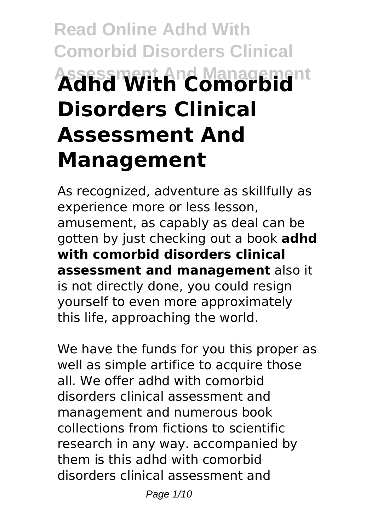# **Read Online Adhd With Comorbid Disorders Clinical Assessment And Management Adhd With Comorbid Disorders Clinical Assessment And Management**

As recognized, adventure as skillfully as experience more or less lesson, amusement, as capably as deal can be gotten by just checking out a book **adhd with comorbid disorders clinical assessment and management** also it is not directly done, you could resign yourself to even more approximately this life, approaching the world.

We have the funds for you this proper as well as simple artifice to acquire those all. We offer adhd with comorbid disorders clinical assessment and management and numerous book collections from fictions to scientific research in any way. accompanied by them is this adhd with comorbid disorders clinical assessment and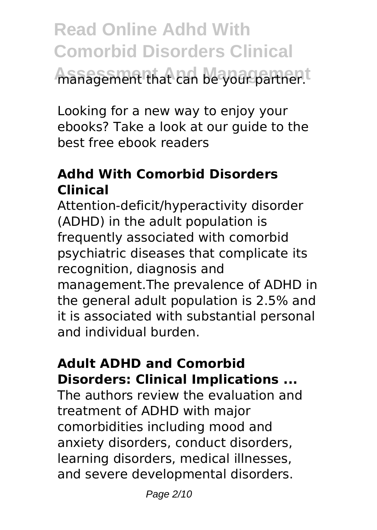**Read Online Adhd With Comorbid Disorders Clinical Assessment And Management** management that can be your partner.

Looking for a new way to enjoy your ebooks? Take a look at our guide to the best free ebook readers

### **Adhd With Comorbid Disorders Clinical**

Attention-deficit/hyperactivity disorder (ADHD) in the adult population is frequently associated with comorbid psychiatric diseases that complicate its recognition, diagnosis and management.The prevalence of ADHD in the general adult population is 2.5% and it is associated with substantial personal and individual burden.

#### **Adult ADHD and Comorbid Disorders: Clinical Implications ...**

The authors review the evaluation and treatment of ADHD with major comorbidities including mood and anxiety disorders, conduct disorders, learning disorders, medical illnesses, and severe developmental disorders.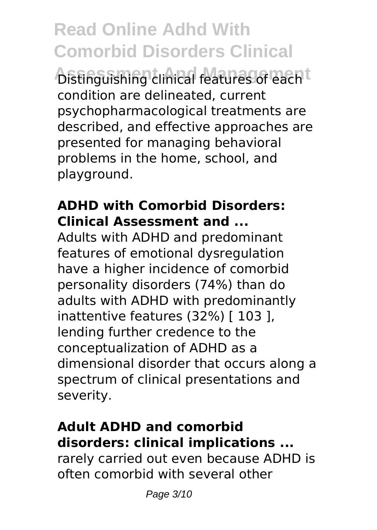**Alstinguishing clinical features of each t** condition are delineated, current psychopharmacological treatments are described, and effective approaches are presented for managing behavioral problems in the home, school, and playground.

#### **ADHD with Comorbid Disorders: Clinical Assessment and ...**

Adults with ADHD and predominant features of emotional dysregulation have a higher incidence of comorbid personality disorders (74%) than do adults with ADHD with predominantly inattentive features (32%) [ 103 ], lending further credence to the conceptualization of ADHD as a dimensional disorder that occurs along a spectrum of clinical presentations and severity.

#### **Adult ADHD and comorbid disorders: clinical implications ...**

rarely carried out even because ADHD is often comorbid with several other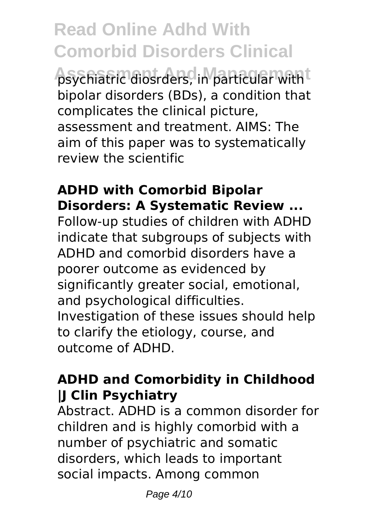**Assessment And Management** psychiatric diosrders, in particular with bipolar disorders (BDs), a condition that complicates the clinical picture, assessment and treatment. AIMS: The aim of this paper was to systematically review the scientific

#### **ADHD with Comorbid Bipolar Disorders: A Systematic Review ...**

Follow-up studies of children with ADHD indicate that subgroups of subjects with ADHD and comorbid disorders have a poorer outcome as evidenced by significantly greater social, emotional, and psychological difficulties. Investigation of these issues should help to clarify the etiology, course, and outcome of ADHD.

#### **ADHD and Comorbidity in Childhood |J Clin Psychiatry**

Abstract. ADHD is a common disorder for children and is highly comorbid with a number of psychiatric and somatic disorders, which leads to important social impacts. Among common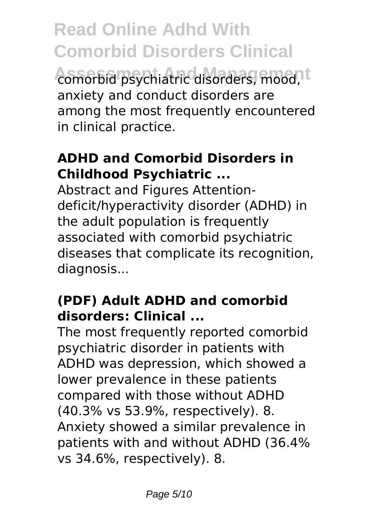**Read Online Adhd With Comorbid Disorders Clinical Assessment And Management** comorbid psychiatric disorders, mood, anxiety and conduct disorders are among the most frequently encountered in clinical practice.

#### **ADHD and Comorbid Disorders in Childhood Psychiatric ...**

Abstract and Figures Attentiondeficit/hyperactivity disorder (ADHD) in the adult population is frequently associated with comorbid psychiatric diseases that complicate its recognition, diagnosis...

## **(PDF) Adult ADHD and comorbid disorders: Clinical ...**

The most frequently reported comorbid psychiatric disorder in patients with ADHD was depression, which showed a lower prevalence in these patients compared with those without ADHD (40.3% vs 53.9%, respectively). 8. Anxiety showed a similar prevalence in patients with and without ADHD (36.4% vs 34.6%, respectively). 8.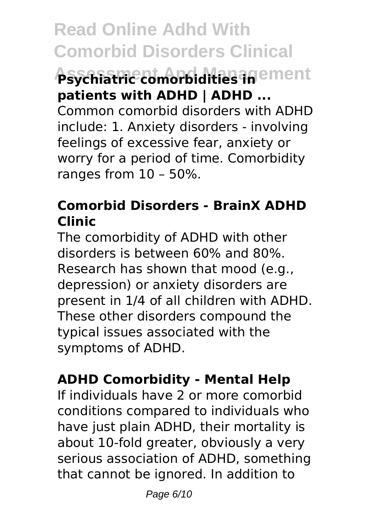# **Assessment And Management Psychiatric comorbidities in patients with ADHD | ADHD ...**

Common comorbid disorders with ADHD include: 1. Anxiety disorders - involving feelings of excessive fear, anxiety or worry for a period of time. Comorbidity ranges from 10 – 50%.

### **Comorbid Disorders - BrainX ADHD Clinic**

The comorbidity of ADHD with other disorders is between 60% and 80%. Research has shown that mood (e.g., depression) or anxiety disorders are present in 1/4 of all children with ADHD. These other disorders compound the typical issues associated with the symptoms of ADHD.

### **ADHD Comorbidity - Mental Help**

If individuals have 2 or more comorbid conditions compared to individuals who have just plain ADHD, their mortality is about 10‑fold greater, obviously a very serious association of ADHD, something that cannot be ignored. In addition to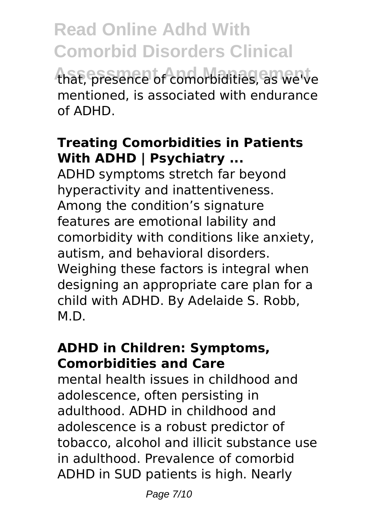**Read Online Adhd With Comorbid Disorders Clinical Assessment And Management** that, presence of comorbidities, as we've mentioned, is associated with endurance of ADHD.

#### **Treating Comorbidities in Patients With ADHD | Psychiatry ...**

ADHD symptoms stretch far beyond hyperactivity and inattentiveness. Among the condition's signature features are emotional lability and comorbidity with conditions like anxiety, autism, and behavioral disorders. Weighing these factors is integral when designing an appropriate care plan for a child with ADHD. By Adelaide S. Robb, M.D.

#### **ADHD in Children: Symptoms, Comorbidities and Care**

mental health issues in childhood and adolescence, often persisting in adulthood. ADHD in childhood and adolescence is a robust predictor of tobacco, alcohol and illicit substance use in adulthood. Prevalence of comorbid ADHD in SUD patients is high. Nearly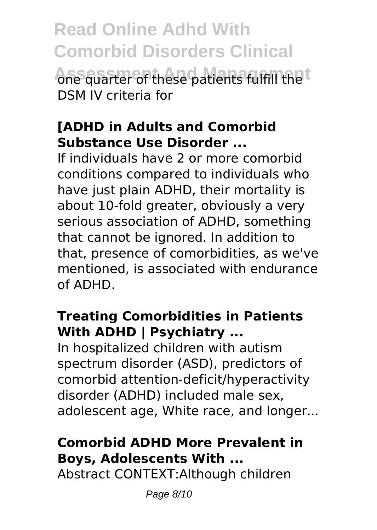**Read Online Adhd With Comorbid Disorders Clinical Ane quarter of these patients fulfill the t** DSM IV criteria for

#### **[ADHD in Adults and Comorbid Substance Use Disorder ...**

If individuals have 2 or more comorbid conditions compared to individuals who have just plain ADHD, their mortality is about 10‑fold greater, obviously a very serious association of ADHD, something that cannot be ignored. In addition to that, presence of comorbidities, as we've mentioned, is associated with endurance of ADHD.

#### **Treating Comorbidities in Patients With ADHD | Psychiatry ...**

In hospitalized children with autism spectrum disorder (ASD), predictors of comorbid attention-deficit/hyperactivity disorder (ADHD) included male sex, adolescent age, White race, and longer...

## **Comorbid ADHD More Prevalent in Boys, Adolescents With ...**

Abstract CONTEXT:Although children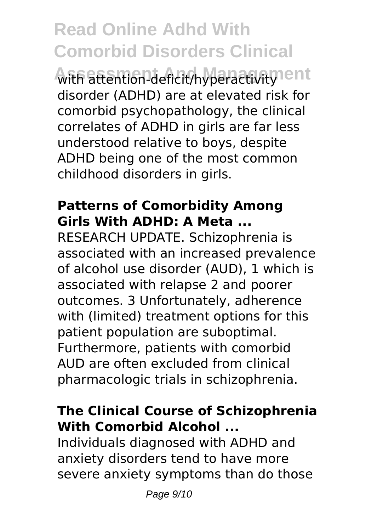with attention-deficit/hyperactivity<sup>1</sup>ent disorder (ADHD) are at elevated risk for comorbid psychopathology, the clinical correlates of ADHD in girls are far less understood relative to boys, despite ADHD being one of the most common childhood disorders in girls.

#### **Patterns of Comorbidity Among Girls With ADHD: A Meta ...**

RESEARCH UPDATE. Schizophrenia is associated with an increased prevalence of alcohol use disorder (AUD), 1 which is associated with relapse 2 and poorer outcomes. 3 Unfortunately, adherence with (limited) treatment options for this patient population are suboptimal. Furthermore, patients with comorbid AUD are often excluded from clinical pharmacologic trials in schizophrenia.

#### **The Clinical Course of Schizophrenia With Comorbid Alcohol ...**

Individuals diagnosed with ADHD and anxiety disorders tend to have more severe anxiety symptoms than do those